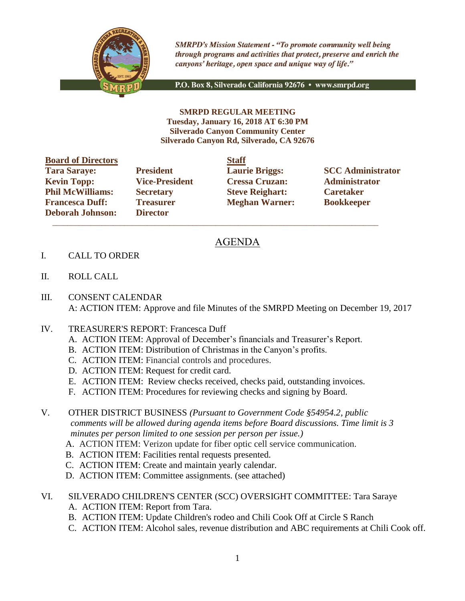

**SMRPD's Mission Statement - "To promote community well being** through programs and activities that protect, preserve and enrich the canyons' heritage, open space and unique way of life."

P.O. Box 8, Silverado California 92676 · www.smrpd.org

**SMRPD REGULAR MEETING Tuesday, January 16, 2018 AT 6:30 PM Silverado Canyon Community Center Silverado Canyon Rd, Silverado, CA 92676**

| <b>Board of Directors</b> |                       | <b>Staff</b> |
|---------------------------|-----------------------|--------------|
| <b>Tara Saraye:</b>       | <b>President</b>      | Laur         |
| <b>Kevin Topp:</b>        | <b>Vice-President</b> | <b>Cres</b>  |
| <b>Phil McWilliams:</b>   | <b>Secretary</b>      | <b>Steve</b> |
| <b>Francesca Duff:</b>    | <b>Treasurer</b>      | Megl         |
| <b>Deborah Johnson:</b>   | <b>Director</b>       |              |

**Director**  $\mathcal{L}_\text{max}$  , and the set of the set of the set of the set of the set of the set of the set of the set of the set of the set of the set of the set of the set of the set of the set of the set of the set of the set of the

**Kevin Toppis Exercise Cressa Cruzan: Administrator Philo McGive Reighart: Philosopherene Caretaker Freasurer Meghan Warner: Bookkeeper** 

**Tarages: President Laurie Briggs: SCC Administrator** 

## AGENDA

- I. CALL TO ORDER
- II. ROLL CALL
- III. CONSENT CALENDAR A: ACTION ITEM: Approve and file Minutes of the SMRPD Meeting on December 19, 2017
- IV. TREASURER'S REPORT: Francesca Duff
	- A. ACTION ITEM: Approval of December's financials and Treasurer's Report.
	- B. ACTION ITEM: Distribution of Christmas in the Canyon's profits.
	- C. ACTION ITEM: Financial controls and procedures.
	- D. ACTION ITEM: Request for credit card.
	- E. ACTION ITEM: Review checks received, checks paid, outstanding invoices.
	- F. ACTION ITEM: Procedures for reviewing checks and signing by Board.
- V. OTHER DISTRICT BUSINESS *(Pursuant to Government Code §54954.2, public comments will be allowed during agenda items before Board discussions. Time limit is 3 minutes per person limited to one session per person per issue.)*
	- A. ACTION ITEM: Verizon update for fiber optic cell service communication.
	- B. ACTION ITEM: Facilities rental requests presented.
	- C. ACTION ITEM: Create and maintain yearly calendar.
	- D. ACTION ITEM: Committee assignments. (see attached)
- VI. SILVERADO CHILDREN'S CENTER (SCC) OVERSIGHT COMMITTEE: Tara Saraye
	- A. ACTION ITEM: Report from Tara.
	- B. ACTION ITEM: Update Children's rodeo and Chili Cook Off at Circle S Ranch
	- C. ACTION ITEM: Alcohol sales, revenue distribution and ABC requirements at Chili Cook off.